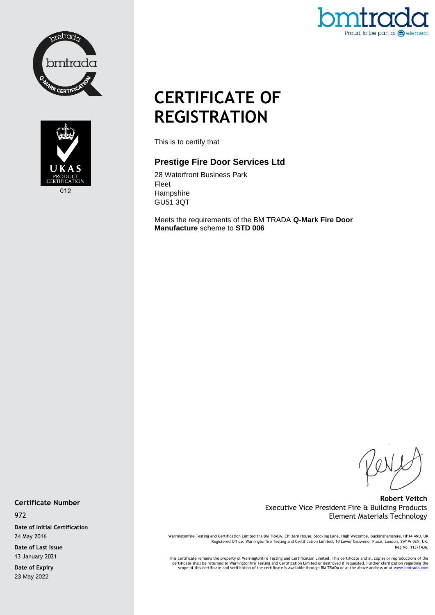



Proud to be part of  $\bigcirc$  element

# **CERTIFICATE OF REGISTRATION**

This is to certify that

# **Prestige Fire Door Services Ltd**

28 Waterfront Business Park Fleet Hampshire GU51 3QT

Meets the requirements of the BM TRADA **Q-Mark Fire Door Manufacture** scheme to **STD 006**

# **Robert Veitch** Executive Vice President Fire & Building Products Element Materials Technology

Warringtonfire Testing and Certification Limited t/a BM TRADA, Chiltern House, Stocking Lane, High Wycombe, Buckinghamshire, HP14 4ND, UK<br>Registered Office: Warringtonfire Testing and Certification Limited, 10 Lower Grosve Reg No. 11371436.

This certificate remains the property of Warringtonfire Testing and Certification Limited. This certificate and all copies or reproductions of the<br>Certificate shall be returned to Warringtonfire Testing and Certification L

**Certificate Number**

972

**Date of Initial Certification** 24 May 2016 **Date of Last Issue**

13 January 2021

**Date of Expiry** 23 May 2022